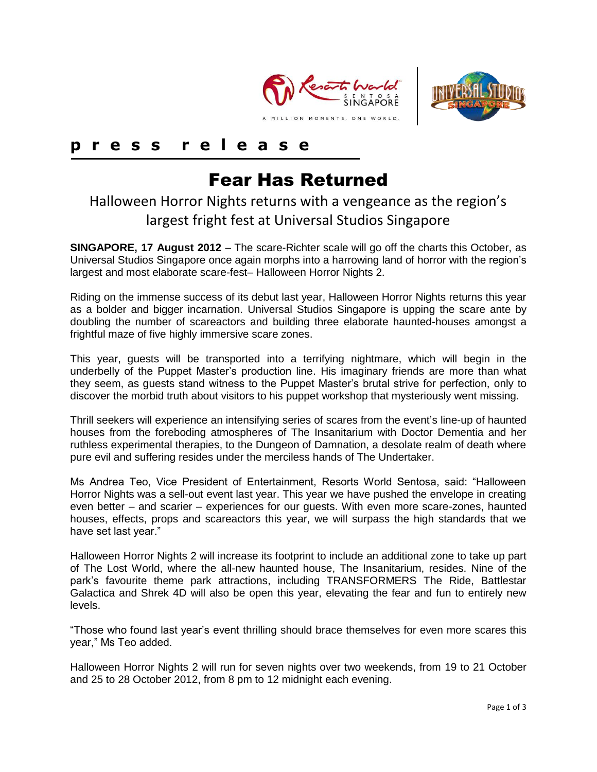



# **p r e s s r e l e a s e**

# Fear Has Returned

# Halloween Horror Nights returns with a vengeance as the region's largest fright fest at Universal Studios Singapore

**SINGAPORE, 17 August 2012** – The scare-Richter scale will go off the charts this October, as Universal Studios Singapore once again morphs into a harrowing land of horror with the region's largest and most elaborate scare-fest– Halloween Horror Nights 2.

Riding on the immense success of its debut last year, Halloween Horror Nights returns this year as a bolder and bigger incarnation. Universal Studios Singapore is upping the scare ante by doubling the number of scareactors and building three elaborate haunted-houses amongst a frightful maze of five highly immersive scare zones.

This year, guests will be transported into a terrifying nightmare, which will begin in the underbelly of the Puppet Master's production line. His imaginary friends are more than what they seem, as guests stand witness to the Puppet Master's brutal strive for perfection, only to discover the morbid truth about visitors to his puppet workshop that mysteriously went missing.

Thrill seekers will experience an intensifying series of scares from the event's line-up of haunted houses from the foreboding atmospheres of The Insanitarium with Doctor Dementia and her ruthless experimental therapies, to the Dungeon of Damnation, a desolate realm of death where pure evil and suffering resides under the merciless hands of The Undertaker.

Ms Andrea Teo, Vice President of Entertainment, Resorts World Sentosa, said: "Halloween Horror Nights was a sell-out event last year. This year we have pushed the envelope in creating even better – and scarier – experiences for our guests. With even more scare-zones, haunted houses, effects, props and scareactors this year, we will surpass the high standards that we have set last year."

Halloween Horror Nights 2 will increase its footprint to include an additional zone to take up part of The Lost World, where the all-new haunted house, The Insanitarium, resides. Nine of the park's favourite theme park attractions, including TRANSFORMERS The Ride, Battlestar Galactica and Shrek 4D will also be open this year, elevating the fear and fun to entirely new levels.

"Those who found last year's event thrilling should brace themselves for even more scares this year," Ms Teo added.

Halloween Horror Nights 2 will run for seven nights over two weekends, from 19 to 21 October and 25 to 28 October 2012, from 8 pm to 12 midnight each evening.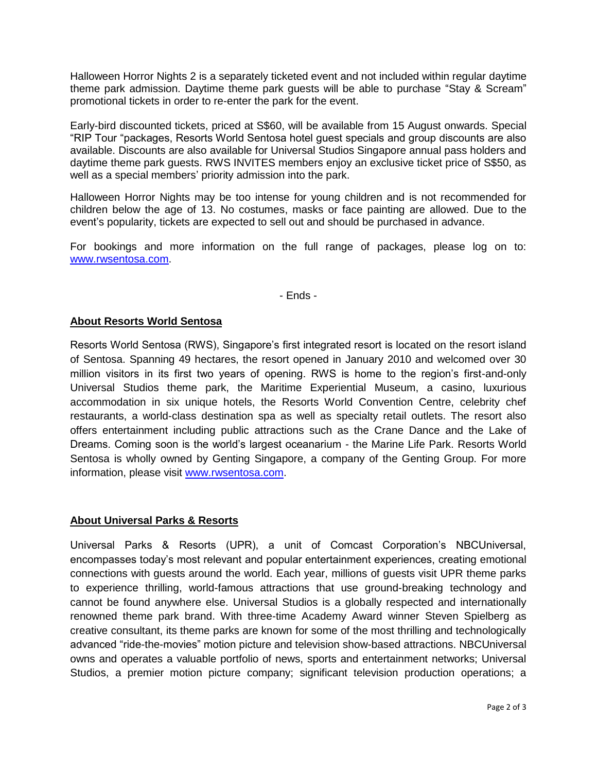Halloween Horror Nights 2 is a separately ticketed event and not included within regular daytime theme park admission. Daytime theme park guests will be able to purchase "Stay & Scream" promotional tickets in order to re-enter the park for the event.

Early-bird discounted tickets, priced at S\$60, will be available from 15 August onwards. Special "RIP Tour "packages, Resorts World Sentosa hotel guest specials and group discounts are also available. Discounts are also available for Universal Studios Singapore annual pass holders and daytime theme park guests. RWS INVITES members enjoy an exclusive ticket price of S\$50, as well as a special members' priority admission into the park.

Halloween Horror Nights may be too intense for young children and is not recommended for children below the age of 13. No costumes, masks or face painting are allowed. Due to the event's popularity, tickets are expected to sell out and should be purchased in advance.

For bookings and more information on the full range of packages, please log on to: [www.rwsentosa.com.](http://www.rwsentosa.com/)

- Ends -

## **About Resorts World Sentosa**

Resorts World Sentosa (RWS), Singapore's first integrated resort is located on the resort island of Sentosa. Spanning 49 hectares, the resort opened in January 2010 and welcomed over 30 million visitors in its first two years of opening. RWS is home to the region's first-and-only Universal Studios theme park, the Maritime Experiential Museum, a casino, luxurious accommodation in six unique hotels, the Resorts World Convention Centre, celebrity chef restaurants, a world-class destination spa as well as specialty retail outlets. The resort also offers entertainment including public attractions such as the Crane Dance and the Lake of Dreams. Coming soon is the world's largest oceanarium - the Marine Life Park. Resorts World Sentosa is wholly owned by Genting Singapore, a company of the Genting Group. For more information, please visit [www.rwsentosa.com.](http://www.rwsentosa.com/)

## **About Universal Parks & Resorts**

Universal Parks & Resorts (UPR), a unit of Comcast Corporation's NBCUniversal, encompasses today's most relevant and popular entertainment experiences, creating emotional connections with guests around the world. Each year, millions of guests visit UPR theme parks to experience thrilling, world-famous attractions that use ground-breaking technology and cannot be found anywhere else. Universal Studios is a globally respected and internationally renowned theme park brand. With three-time Academy Award winner Steven Spielberg as creative consultant, its theme parks are known for some of the most thrilling and technologically advanced "ride-the-movies" motion picture and television show-based attractions. NBCUniversal owns and operates a valuable portfolio of news, sports and entertainment networks; Universal Studios, a premier motion picture company; significant television production operations; a